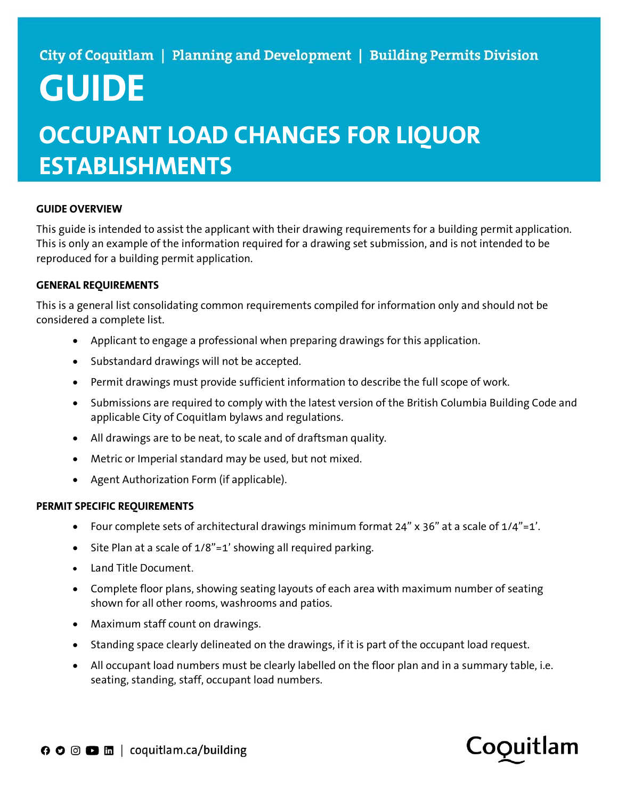# GUIDE

## OCCUPANT LOAD CHANGES FOR LIQUOR **ESTABLISHMENTS**

### GUIDE OVERVIEW

This guide is intended to assist the applicant with their drawing requirements for a building permit application. This is only an example of the information required for a drawing set submission, and is not intended to be reproduced for a building permit application.

#### GENERAL REQUIREMENTS

This is a general list consolidating common requirements compiled for information only and should not be considered a complete list.

- Applicant to engage a professional when preparing drawings for this application.
- Substandard drawings will not be accepted.
- Permit drawings must provide sufficient information to describe the full scope of work.
- Submissions are required to comply with the latest version of the British Columbia Building Code and applicable City of Coquitlam bylaws and regulations.
- All drawings are to be neat, to scale and of draftsman quality.
- Metric or Imperial standard may be used, but not mixed.
- Agent Authorization Form (if applicable).

#### PERMIT SPECIFIC REQUIREMENTS

- Four complete sets of architectural drawings minimum format 24" x 36" at a scale of 1/4"=1'.
- Site Plan at a scale of 1/8"=1' showing all required parking.
- Land Title Document.
- Complete floor plans, showing seating layouts of each area with maximum number of seating shown for all other rooms, washrooms and patios.
- Maximum staff count on drawings.
- Standing space clearly delineated on the drawings, if it is part of the occupant load request.
- All occupant load numbers must be clearly labelled on the floor plan and in a summary table, i.e. seating, standing, staff, occupant load numbers.